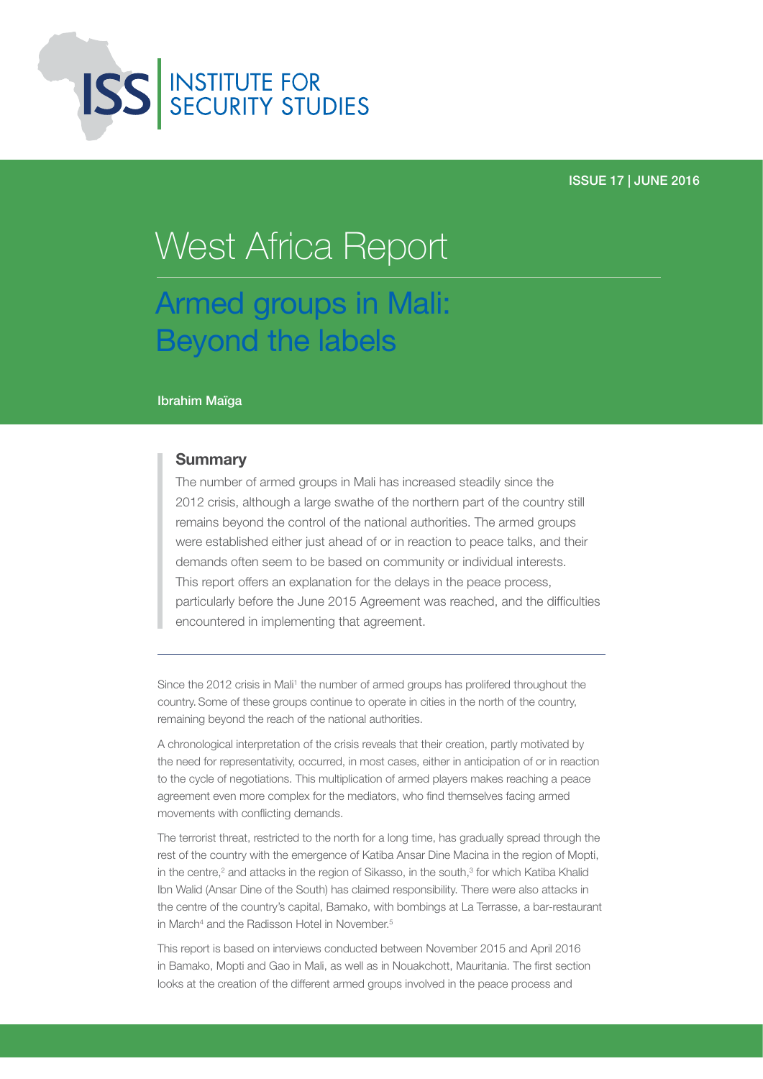

#### ISSUE 17 | JUNE 2016

# Armed groups in Mali: Beyond the labels West Africa Report

#### Ibrahim Maïga

#### **Summary**

The number of armed groups in Mali has increased steadily since the 2012 crisis, although a large swathe of the northern part of the country still remains beyond the control of the national authorities. The armed groups were established either just ahead of or in reaction to peace talks, and their demands often seem to be based on community or individual interests. This report offers an explanation for the delays in the peace process, particularly before the June 2015 Agreement was reached, and the difficulties encountered in implementing that agreement.

Since the 2012 crisis in Mali<sup>1</sup> the number of armed groups has prolifered throughout the country.Some of these groups continue to operate in cities in the north of the country, remaining beyond the reach of the national authorities.

A chronological interpretation of the crisis reveals that their creation, partly motivated by the need for representativity, occurred, in most cases, either in anticipation of or in reaction to the cycle of negotiations. This multiplication of armed players makes reaching a peace agreement even more complex for the mediators, who find themselves facing armed movements with conflicting demands.

The terrorist threat, restricted to the north for a long time, has gradually spread through the rest of the country with the emergence of Katiba Ansar Dine Macina in the region of Mopti, in the centre,<sup>2</sup> and attacks in the region of Sikasso, in the south, $3$  for which Katiba Khalid Ibn Walid (Ansar Dine of the South) has claimed responsibility. There were also attacks in the centre of the country's capital, Bamako, with bombings at La Terrasse, a bar-restaurant in March<sup>4</sup> and the Radisson Hotel in November.<sup>5</sup>

This report is based on interviews conducted between November 2015 and April 2016 in Bamako, Mopti and Gao in Mali, as well as in Nouakchott, Mauritania. The first section looks at the creation of the different armed groups involved in the peace process and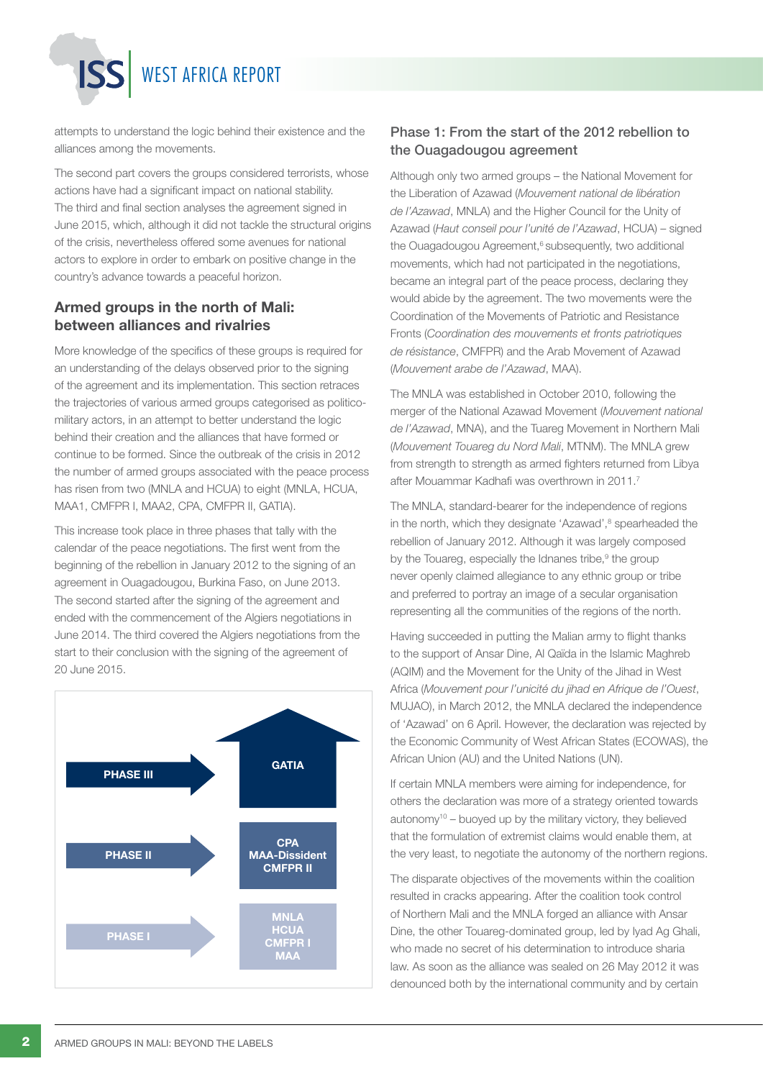WEST AFRICA REPORT

attempts to understand the logic behind their existence and the alliances among the movements.

The second part covers the groups considered terrorists, whose actions have had a significant impact on national stability. The third and final section analyses the agreement signed in June 2015, which, although it did not tackle the structural origins of the crisis, nevertheless offered some avenues for national actors to explore in order to embark on positive change in the country's advance towards a peaceful horizon.

#### Armed groups in the north of Mali: between alliances and rivalries

More knowledge of the specifics of these groups is required for an understanding of the delays observed prior to the signing of the agreement and its implementation. This section retraces the trajectories of various armed groups categorised as politicomilitary actors, in an attempt to better understand the logic behind their creation and the alliances that have formed or continue to be formed. Since the outbreak of the crisis in 2012 the number of armed groups associated with the peace process has risen from two (MNLA and HCUA) to eight (MNLA, HCUA, MAA1, CMFPR I, MAA2, CPA, CMFPR II, GATIA).

This increase took place in three phases that tally with the calendar of the peace negotiations. The first went from the beginning of the rebellion in January 2012 to the signing of an agreement in Ouagadougou, Burkina Faso, on June 2013. The second started after the signing of the agreement and ended with the commencement of the Algiers negotiations in June 2014. The third covered the Algiers negotiations from the start to their conclusion with the signing of the agreement of 20 June 2015.



#### Phase 1: From the start of the 2012 rebellion to the Ouagadougou agreement

Although only two armed groups – the National Movement for the Liberation of Azawad (*Mouvement national de libération de l'Azawad*, MNLA) and the Higher Council for the Unity of Azawad (*Haut conseil pour l'unité de l'Azawad*, HCUA) – signed the Ouagadougou Agreement,<sup>6</sup> subsequently, two additional movements, which had not participated in the negotiations, became an integral part of the peace process, declaring they would abide by the agreement. The two movements were the Coordination of the Movements of Patriotic and Resistance Fronts (*Coordination des mouvements et fronts patriotiques de résistance*, CMFPR) and the Arab Movement of Azawad (*Mouvement arabe de l'Azawad*, MAA).

The MNLA was established in October 2010, following the merger of the National Azawad Movement (*Mouvement national de l'Azawad*, MNA), and the Tuareg Movement in Northern Mali (*Mouvement Touareg du Nord Mali*, MTNM). The MNLA grew from strength to strength as armed fighters returned from Libya after Mouammar Kadhafi was overthrown in 2011.7

The MNLA, standard-bearer for the independence of regions in the north, which they designate 'Azawad',<sup>8</sup> spearheaded the rebellion of January 2012. Although it was largely composed by the Touareg, especially the Idnanes tribe, $9$  the group never openly claimed allegiance to any ethnic group or tribe and preferred to portray an image of a secular organisation representing all the communities of the regions of the north.

Having succeeded in putting the Malian army to flight thanks to the support of Ansar Dine, Al Qaïda in the Islamic Maghreb (AQIM) and the Movement for the Unity of the Jihad in West Africa (*Mouvement pour l'unicité du jihad en Afrique de l'Ouest*, MUJAO), in March 2012, the MNLA declared the independence of 'Azawad' on 6 April. However, the declaration was rejected by the Economic Community of West African States (ECOWAS), the African Union (AU) and the United Nations (UN).

If certain MNLA members were aiming for independence, for others the declaration was more of a strategy oriented towards autonomy $10 -$  buoyed up by the military victory, they believed that the formulation of extremist claims would enable them, at the very least, to negotiate the autonomy of the northern regions.

The disparate objectives of the movements within the coalition resulted in cracks appearing. After the coalition took control of Northern Mali and the MNLA forged an alliance with Ansar Dine, the other Touareg-dominated group, led by Iyad Ag Ghali, who made no secret of his determination to introduce sharia law. As soon as the alliance was sealed on 26 May 2012 it was denounced both by the international community and by certain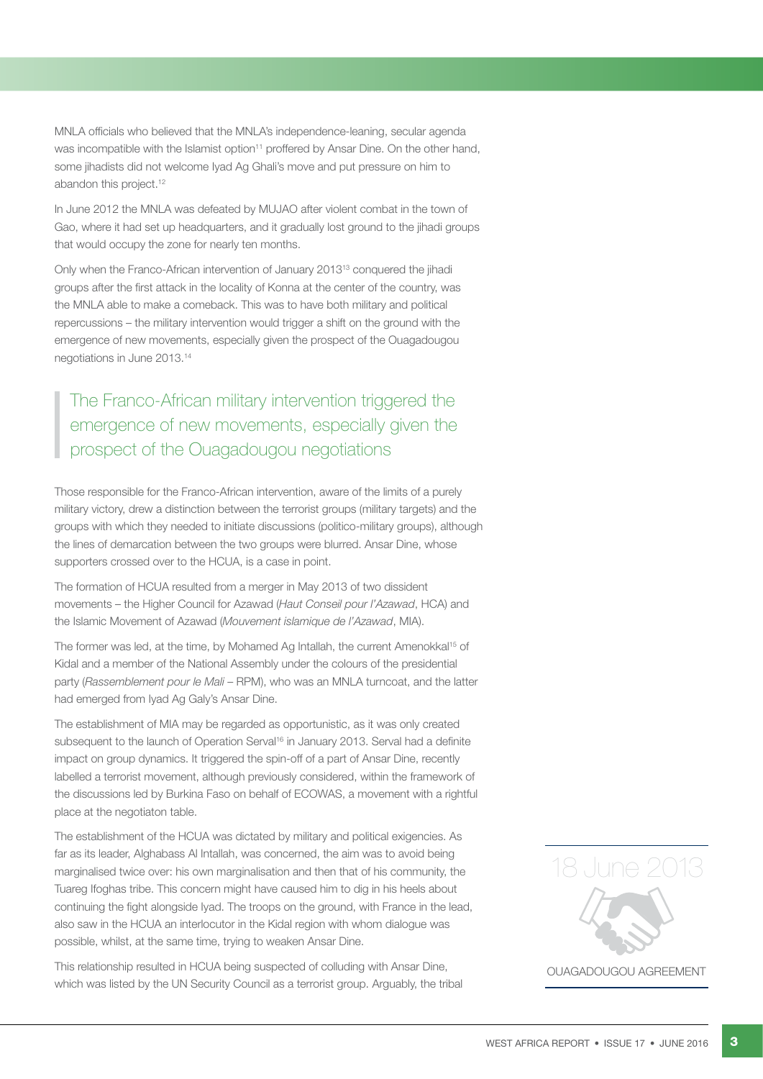MNLA officials who believed that the MNLA's independence-leaning, secular agenda was incompatible with the Islamist option<sup>11</sup> proffered by Ansar Dine. On the other hand, some jihadists did not welcome Iyad Ag Ghali's move and put pressure on him to abandon this project.<sup>12</sup>

In June 2012 the MNLA was defeated by MUJAO after violent combat in the town of Gao, where it had set up headquarters, and it gradually lost ground to the jihadi groups that would occupy the zone for nearly ten months.

Only when the Franco-African intervention of January 201313 conquered the jihadi groups after the first attack in the locality of Konna at the center of the country, was the MNLA able to make a comeback. This was to have both military and political repercussions – the military intervention would trigger a shift on the ground with the emergence of new movements, especially given the prospect of the Ouagadougou negotiations in June 2013.14

The Franco-African military intervention triggered the emergence of new movements, especially given the prospect of the Ouagadougou negotiations

Those responsible for the Franco-African intervention, aware of the limits of a purely military victory, drew a distinction between the terrorist groups (military targets) and the groups with which they needed to initiate discussions (politico-military groups), although the lines of demarcation between the two groups were blurred. Ansar Dine, whose supporters crossed over to the HCUA, is a case in point.

The formation of HCUA resulted from a merger in May 2013 of two dissident movements – the Higher Council for Azawad (*Haut Conseil pour l'Azawad*, HCA) and the Islamic Movement of Azawad (*Mouvement islamique de l'Azawad*, MIA).

The former was led, at the time, by Mohamed Ag Intallah, the current Amenokkal<sup>15</sup> of Kidal and a member of the National Assembly under the colours of the presidential party (*Rassemblement pour le Mali* – RPM), who was an MNLA turncoat, and the latter had emerged from Iyad Ag Galy's Ansar Dine.

The establishment of MIA may be regarded as opportunistic, as it was only created subsequent to the launch of Operation Serval<sup>16</sup> in January 2013. Serval had a definite impact on group dynamics. It triggered the spin-off of a part of Ansar Dine, recently labelled a terrorist movement, although previously considered, within the framework of the discussions led by Burkina Faso on behalf of ECOWAS, a movement with a rightful place at the negotiaton table.

The establishment of the HCUA was dictated by military and political exigencies. As far as its leader, Alghabass Al Intallah, was concerned, the aim was to avoid being marginalised twice over: his own marginalisation and then that of his community, the Tuareg Ifoghas tribe. This concern might have caused him to dig in his heels about continuing the fight alongside Iyad. The troops on the ground, with France in the lead, also saw in the HCUA an interlocutor in the Kidal region with whom dialogue was possible, whilst, at the same time, trying to weaken Ansar Dine.

This relationship resulted in HCUA being suspected of colluding with Ansar Dine, which was listed by the UN Security Council as a terrorist group. Arguably, the tribal



OUAGADOUGOU AGREEMENT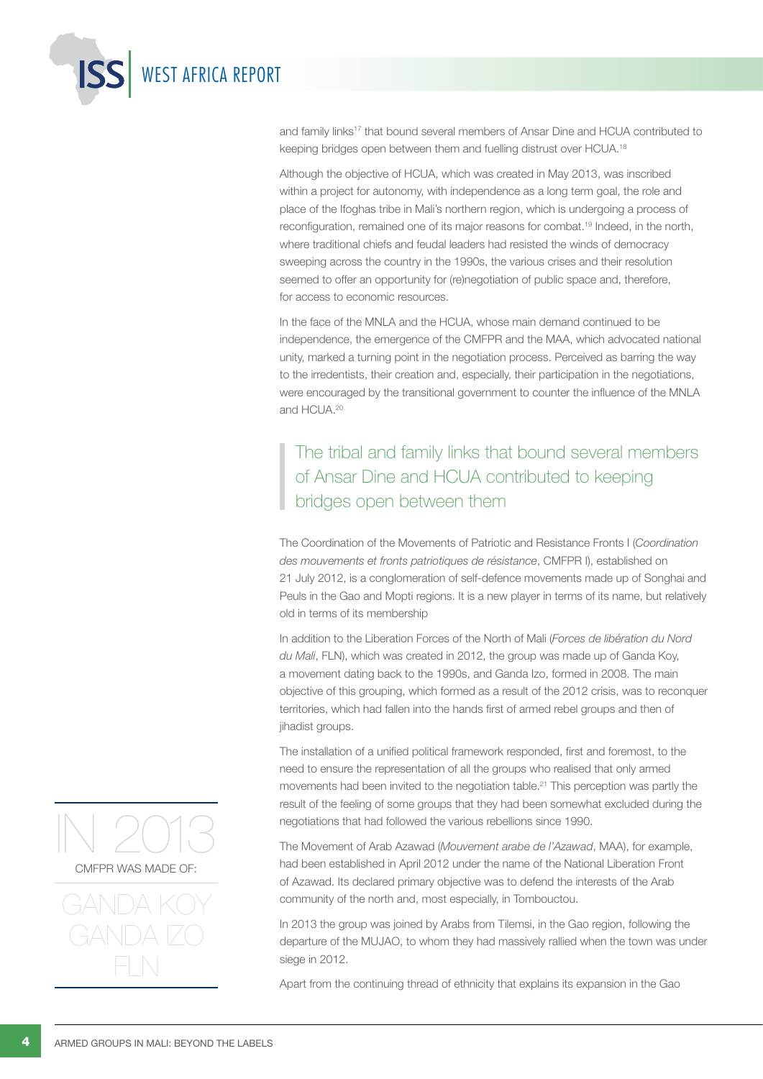and family links<sup>17</sup> that bound several members of Ansar Dine and HCUA contributed to keeping bridges open between them and fuelling distrust over HCUA.18

Although the objective of HCUA, which was created in May 2013, was inscribed within a project for autonomy, with independence as a long term goal, the role and place of the Ifoghas tribe in Mali's northern region, which is undergoing a process of reconfiguration, remained one of its major reasons for combat.19 Indeed, in the north, where traditional chiefs and feudal leaders had resisted the winds of democracy sweeping across the country in the 1990s, the various crises and their resolution seemed to offer an opportunity for (re)negotiation of public space and, therefore, for access to economic resources.

In the face of the MNLA and the HCUA, whose main demand continued to be independence, the emergence of the CMFPR and the MAA, which advocated national unity, marked a turning point in the negotiation process. Perceived as barring the way to the irredentists, their creation and, especially, their participation in the negotiations, were encouraged by the transitional government to counter the influence of the MNLA and HCUA.20

## The tribal and family links that bound several members of Ansar Dine and HCUA contributed to keeping bridges open between them

The Coordination of the Movements of Patriotic and Resistance Fronts I (*Coordination des mouvements et fronts patriotiques de résistance*, CMFPR I), established on 21 July 2012, is a conglomeration of self-defence movements made up of Songhai and Peuls in the Gao and Mopti regions. It is a new player in terms of its name, but relatively old in terms of its membership

In addition to the Liberation Forces of the North of Mali (*Forces de libération du Nord du Mali*, FLN), which was created in 2012, the group was made up of Ganda Koy, a movement dating back to the 1990s, and Ganda Izo, formed in 2008. The main objective of this grouping, which formed as a result of the 2012 crisis, was to reconquer territories, which had fallen into the hands first of armed rebel groups and then of jihadist groups.

The installation of a unified political framework responded, first and foremost, to the need to ensure the representation of all the groups who realised that only armed movements had been invited to the negotiation table.21 This perception was partly the result of the feeling of some groups that they had been somewhat excluded during the negotiations that had followed the various rebellions since 1990.

The Movement of Arab Azawad (*Mouvement arabe de l'Azawad*, MAA), for example, had been established in April 2012 under the name of the National Liberation Front of Azawad. Its declared primary objective was to defend the interests of the Arab community of the north and, most especially, in Tombouctou.

In 2013 the group was joined by Arabs from Tilemsi, in the Gao region, following the departure of the MUJAO, to whom they had massively rallied when the town was under siege in 2012.

Apart from the continuing thread of ethnicity that explains its expansion in the Gao



WEST AFRICA REPORT

#### CMFPR WAS MADE OF:

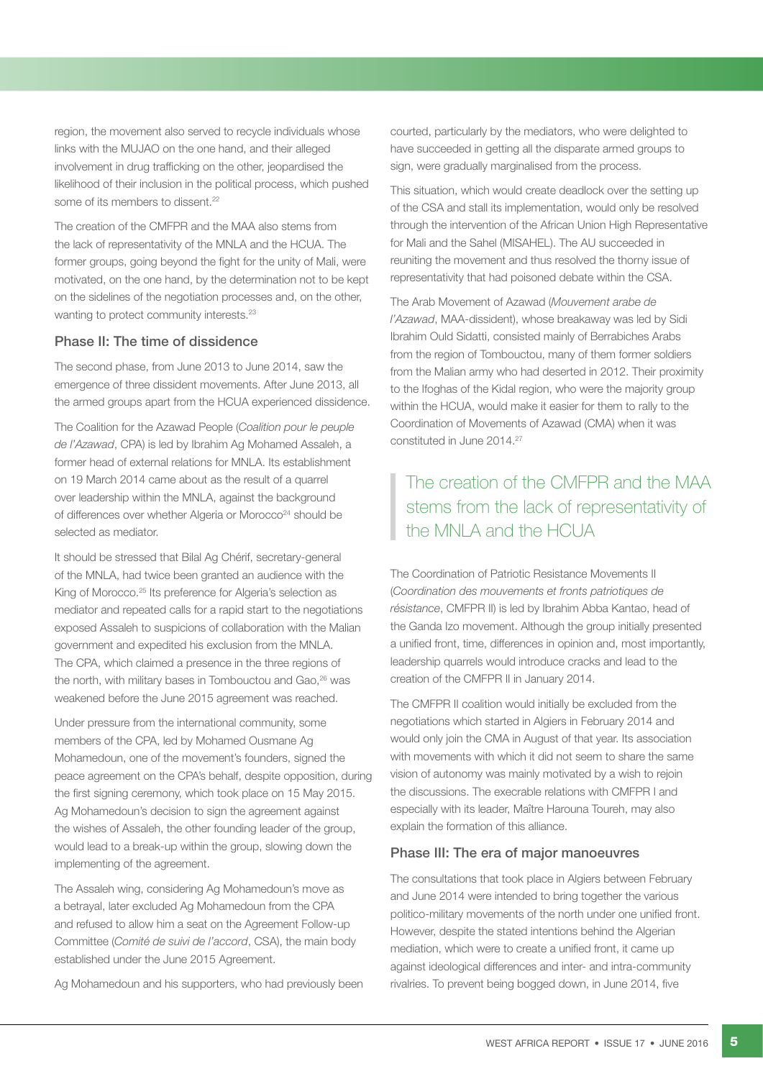region, the movement also served to recycle individuals whose links with the MUJAO on the one hand, and their alleged involvement in drug trafficking on the other, jeopardised the likelihood of their inclusion in the political process, which pushed some of its members to dissent.<sup>22</sup>

The creation of the CMFPR and the MAA also stems from the lack of representativity of the MNLA and the HCUA. The former groups, going beyond the fight for the unity of Mali, were motivated, on the one hand, by the determination not to be kept on the sidelines of the negotiation processes and, on the other, wanting to protect community interests.<sup>23</sup>

#### Phase II: The time of dissidence

The second phase, from June 2013 to June 2014, saw the emergence of three dissident movements. After June 2013, all the armed groups apart from the HCUA experienced dissidence.

The Coalition for the Azawad People (*Coalition pour le peuple de l'Azawad*, CPA) is led by Ibrahim Ag Mohamed Assaleh, a former head of external relations for MNLA. Its establishment on 19 March 2014 came about as the result of a quarrel over leadership within the MNLA, against the background of differences over whether Algeria or Morocco<sup>24</sup> should be selected as mediator.

It should be stressed that Bilal Ag Chérif, secretary-general of the MNLA, had twice been granted an audience with the King of Morocco.<sup>25</sup> Its preference for Algeria's selection as mediator and repeated calls for a rapid start to the negotiations exposed Assaleh to suspicions of collaboration with the Malian government and expedited his exclusion from the MNLA. The CPA, which claimed a presence in the three regions of the north, with military bases in Tombouctou and Gao,<sup>26</sup> was weakened before the June 2015 agreement was reached.

Under pressure from the international community, some members of the CPA, led by Mohamed Ousmane Ag Mohamedoun, one of the movement's founders, signed the peace agreement on the CPA's behalf, despite opposition, during the first signing ceremony, which took place on 15 May 2015. Ag Mohamedoun's decision to sign the agreement against the wishes of Assaleh, the other founding leader of the group, would lead to a break-up within the group, slowing down the implementing of the agreement.

The Assaleh wing, considering Ag Mohamedoun's move as a betrayal, later excluded Ag Mohamedoun from the CPA and refused to allow him a seat on the Agreement Follow-up Committee (*Comité de suivi de l'accord*, CSA), the main body established under the June 2015 Agreement.

Ag Mohamedoun and his supporters, who had previously been

courted, particularly by the mediators, who were delighted to have succeeded in getting all the disparate armed groups to sign, were gradually marginalised from the process.

This situation, which would create deadlock over the setting up of the CSA and stall its implementation, would only be resolved through the intervention of the African Union High Representative for Mali and the Sahel (MISAHEL). The AU succeeded in reuniting the movement and thus resolved the thorny issue of representativity that had poisoned debate within the CSA.

The Arab Movement of Azawad (*Mouvement arabe de l'Azawad*, MAA-dissident), whose breakaway was led by Sidi Ibrahim Ould Sidatti, consisted mainly of Berrabiches Arabs from the region of Tombouctou, many of them former soldiers from the Malian army who had deserted in 2012. Their proximity to the Ifoghas of the Kidal region, who were the majority group within the HCUA, would make it easier for them to rally to the Coordination of Movements of Azawad (CMA) when it was constituted in June 2014.27

### The creation of the CMFPR and the MAA stems from the lack of representativity of the MNLA and the HCUA

The Coordination of Patriotic Resistance Movements II (*Coordination des mouvements et fronts patriotiques de résistance*, CMFPR II) is led by Ibrahim Abba Kantao, head of the Ganda Izo movement. Although the group initially presented a unified front, time, differences in opinion and, most importantly, leadership quarrels would introduce cracks and lead to the creation of the CMFPR II in January 2014.

The CMFPR II coalition would initially be excluded from the negotiations which started in Algiers in February 2014 and would only join the CMA in August of that year. Its association with movements with which it did not seem to share the same vision of autonomy was mainly motivated by a wish to rejoin the discussions. The execrable relations with CMFPR I and especially with its leader, Maître Harouna Toureh, may also explain the formation of this alliance.

#### Phase III: The era of major manoeuvres

The consultations that took place in Algiers between February and June 2014 were intended to bring together the various politico-military movements of the north under one unified front. However, despite the stated intentions behind the Algerian mediation, which were to create a unified front, it came up against ideological differences and inter- and intra-community rivalries. To prevent being bogged down, in June 2014, five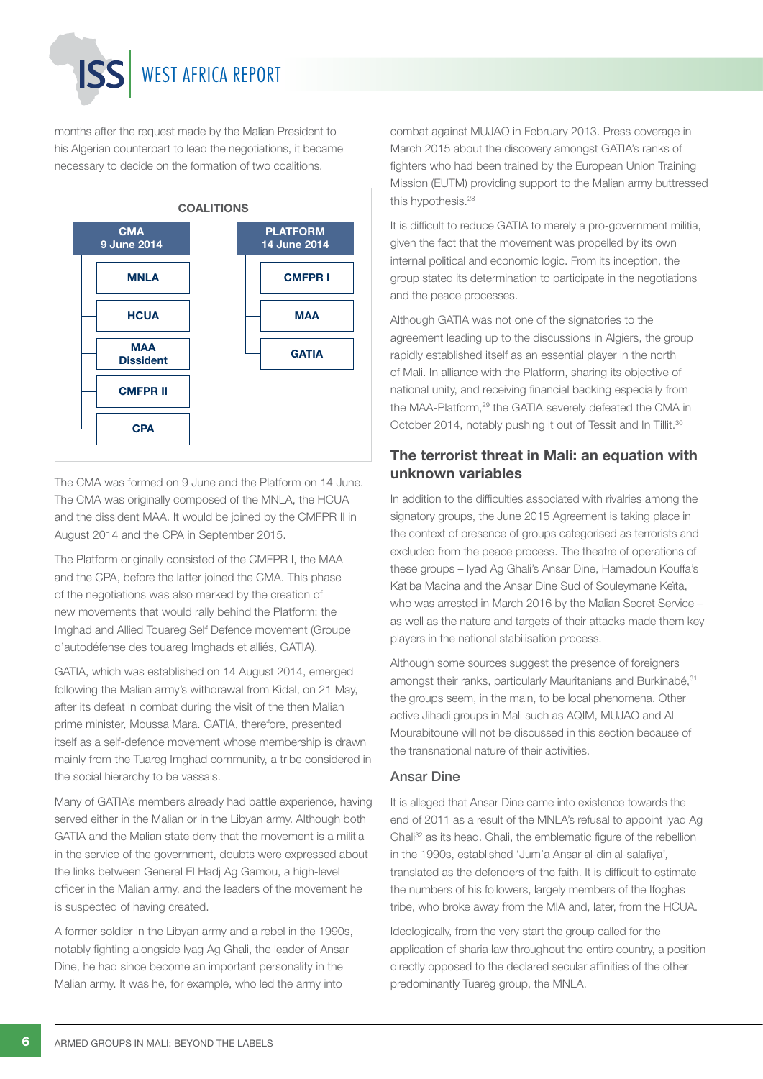## WEST AFRICA REPORT

months after the request made by the Malian President to his Algerian counterpart to lead the negotiations, it became necessary to decide on the formation of two coalitions.



The CMA was formed on 9 June and the Platform on 14 June. The CMA was originally composed of the MNLA, the HCUA and the dissident MAA. It would be joined by the CMFPR II in August 2014 and the CPA in September 2015.

The Platform originally consisted of the CMFPR I, the MAA and the CPA, before the latter joined the CMA. This phase of the negotiations was also marked by the creation of new movements that would rally behind the Platform: the Imghad and Allied Touareg Self Defence movement (Groupe d'autodéfense des touareg Imghads et alliés, GATIA).

GATIA, which was established on 14 August 2014, emerged following the Malian army's withdrawal from Kidal, on 21 May, after its defeat in combat during the visit of the then Malian prime minister, Moussa Mara. GATIA, therefore, presented itself as a self-defence movement whose membership is drawn mainly from the Tuareg Imghad community, a tribe considered in the social hierarchy to be vassals.

Many of GATIA's members already had battle experience, having served either in the Malian or in the Libyan army. Although both GATIA and the Malian state deny that the movement is a militia in the service of the government, doubts were expressed about the links between General El Hadj Ag Gamou, a high-level officer in the Malian army, and the leaders of the movement he is suspected of having created.

A former soldier in the Libyan army and a rebel in the 1990s, notably fighting alongside Iyag Ag Ghali, the leader of Ansar Dine, he had since become an important personality in the Malian army. It was he, for example, who led the army into

combat against MUJAO in February 2013. Press coverage in March 2015 about the discovery amongst GATIA's ranks of fighters who had been trained by the European Union Training Mission (EUTM) providing support to the Malian army buttressed this hypothesis.<sup>28</sup>

It is difficult to reduce GATIA to merely a pro-government militia, given the fact that the movement was propelled by its own internal political and economic logic. From its inception, the group stated its determination to participate in the negotiations and the peace processes.

Although GATIA was not one of the signatories to the agreement leading up to the discussions in Algiers, the group rapidly established itself as an essential player in the north of Mali. In alliance with the Platform, sharing its objective of national unity, and receiving financial backing especially from the MAA-Platform.<sup>29</sup> the GATIA severely defeated the CMA in October 2014, notably pushing it out of Tessit and In Tillit.<sup>30</sup>

#### The terrorist threat in Mali: an equation with unknown variables

In addition to the difficulties associated with rivalries among the signatory groups, the June 2015 Agreement is taking place in the context of presence of groups categorised as terrorists and excluded from the peace process. The theatre of operations of these groups – Iyad Ag Ghali's Ansar Dine, Hamadoun Kouffa's Katiba Macina and the Ansar Dine Sud of Souleymane Keïta, who was arrested in March 2016 by the Malian Secret Service – as well as the nature and targets of their attacks made them key players in the national stabilisation process.

Although some sources suggest the presence of foreigners amongst their ranks, particularly Mauritanians and Burkinabé, 31 the groups seem, in the main, to be local phenomena. Other active Jihadi groups in Mali such as AQIM, MUJAO and Al Mourabitoune will not be discussed in this section because of the transnational nature of their activities.

#### Ansar Dine

It is alleged that Ansar Dine came into existence towards the end of 2011 as a result of the MNLA's refusal to appoint Iyad Ag Ghali32 as its head. Ghali, the emblematic figure of the rebellion in the 1990s, established 'Jum'a Ansar al-din al-salafiya'*,* translated as the defenders of the faith. It is difficult to estimate the numbers of his followers, largely members of the Ifoghas tribe, who broke away from the MIA and, later, from the HCUA.

Ideologically, from the very start the group called for the application of sharia law throughout the entire country, a position directly opposed to the declared secular affinities of the other predominantly Tuareg group, the MNLA.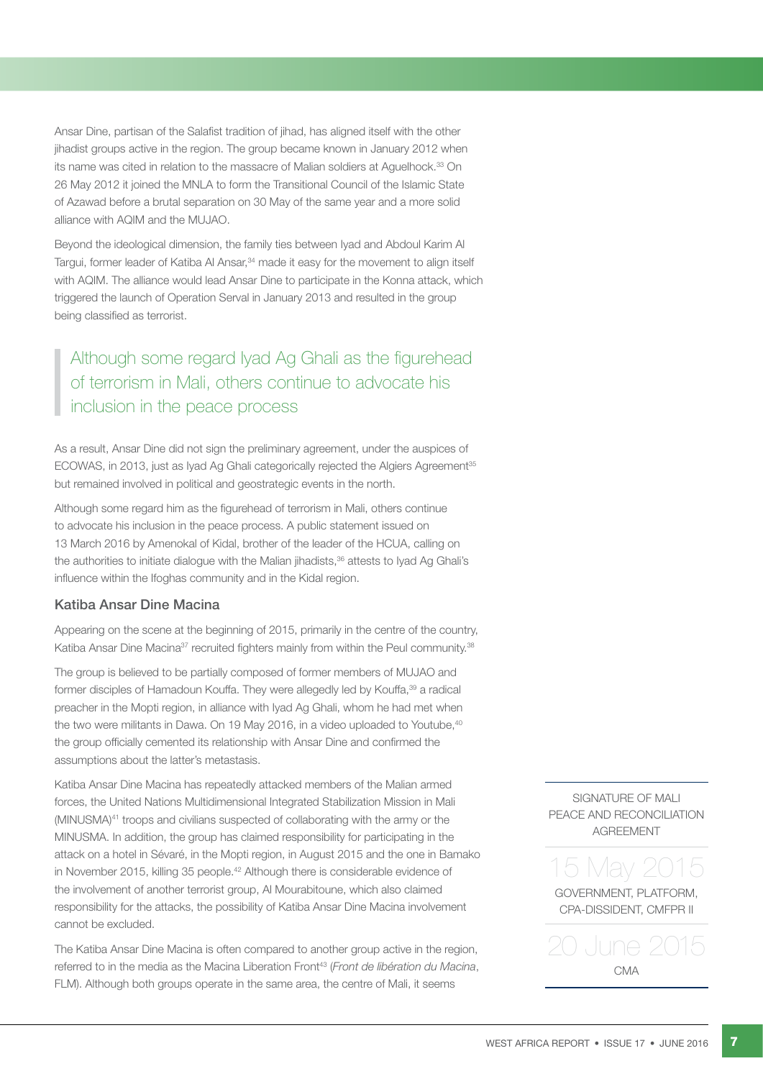Ansar Dine, partisan of the Salafist tradition of jihad, has aligned itself with the other jihadist groups active in the region. The group became known in January 2012 when its name was cited in relation to the massacre of Malian soldiers at Aguelhock.<sup>33</sup> On 26 May 2012 it joined the MNLA to form the Transitional Council of the Islamic State of Azawad before a brutal separation on 30 May of the same year and a more solid alliance with AQIM and the MUJAO.

Beyond the ideological dimension, the family ties between Iyad and Abdoul Karim Al Targui, former leader of Katiba Al Ansar,<sup>34</sup> made it easy for the movement to align itself with AQIM. The alliance would lead Ansar Dine to participate in the Konna attack, which triggered the launch of Operation Serval in January 2013 and resulted in the group being classified as terrorist.

## Although some regard Iyad Ag Ghali as the figurehead of terrorism in Mali, others continue to advocate his inclusion in the peace process

As a result. Ansar Dine did not sign the preliminary agreement, under the auspices of ECOWAS, in 2013, just as Iyad Ag Ghali categorically rejected the Algiers Agreement<sup>35</sup> but remained involved in political and geostrategic events in the north.

Although some regard him as the figurehead of terrorism in Mali, others continue to advocate his inclusion in the peace process. A public statement issued on 13 March 2016 by Amenokal of Kidal, brother of the leader of the HCUA, calling on the authorities to initiate dialogue with the Malian jihadists,<sup>36</sup> attests to Iyad Ag Ghali's influence within the Ifoghas community and in the Kidal region.

#### Katiba Ansar Dine Macina

Appearing on the scene at the beginning of 2015, primarily in the centre of the country, Katiba Ansar Dine Macina<sup>37</sup> recruited fighters mainly from within the Peul community.<sup>38</sup>

The group is believed to be partially composed of former members of MUJAO and former disciples of Hamadoun Kouffa. They were allegedly led by Kouffa,<sup>39</sup> a radical preacher in the Mopti region, in alliance with Iyad Ag Ghali, whom he had met when the two were militants in Dawa. On 19 May 2016, in a video uploaded to Youtube,<sup>40</sup> the group officially cemented its relationship with Ansar Dine and confirmed the assumptions about the latter's metastasis.

Katiba Ansar Dine Macina has repeatedly attacked members of the Malian armed forces, the United Nations Multidimensional Integrated Stabilization Mission in Mali (MINUSMA)41 troops and civilians suspected of collaborating with the army or the MINUSMA. In addition, the group has claimed responsibility for participating in the attack on a hotel in Sévaré, in the Mopti region, in August 2015 and the one in Bamako in November 2015, killing 35 people.<sup>42</sup> Although there is considerable evidence of the involvement of another terrorist group, Al Mourabitoune, which also claimed responsibility for the attacks, the possibility of Katiba Ansar Dine Macina involvement cannot be excluded.

The Katiba Ansar Dine Macina is often compared to another group active in the region, referred to in the media as the Macina Liberation Front<sup>43</sup> (*Front de libération du Macina*, FLM). Although both groups operate in the same area, the centre of Mali, it seems

SIGNATURE OF MALI PEACE AND RECONCILIATION **AGREEMENT** 

5 May 20 GOVERNMENT, PLATFORM,

CPA-DISSIDENT, CMFPR II

20 June 2015 CMA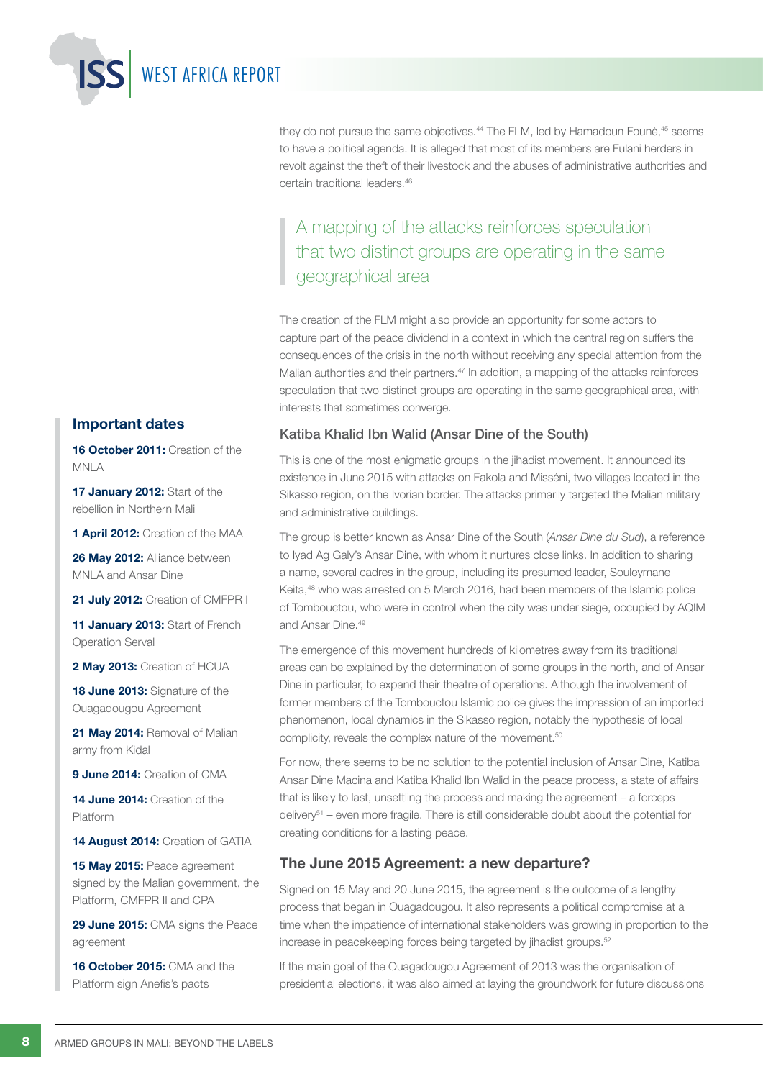they do not pursue the same objectives.<sup>44</sup> The FLM, led by Hamadoun Founè,<sup>45</sup> seems to have a political agenda. It is alleged that most of its members are Fulani herders in revolt against the theft of their livestock and the abuses of administrative authorities and certain traditional leaders.46

A mapping of the attacks reinforces speculation that two distinct groups are operating in the same geographical area

The creation of the FLM might also provide an opportunity for some actors to capture part of the peace dividend in a context in which the central region suffers the consequences of the crisis in the north without receiving any special attention from the Malian authorities and their partners.<sup>47</sup> In addition, a mapping of the attacks reinforces speculation that two distinct groups are operating in the same geographical area, with interests that sometimes converge.

#### Katiba Khalid Ibn Walid (Ansar Dine of the South)

This is one of the most enigmatic groups in the jihadist movement. It announced its existence in June 2015 with attacks on Fakola and Misséni, two villages located in the Sikasso region, on the Ivorian border. The attacks primarily targeted the Malian military and administrative buildings.

The group is better known as Ansar Dine of the South (*Ansar Dine du Sud*), a reference to Iyad Ag Galy's Ansar Dine, with whom it nurtures close links. In addition to sharing a name, several cadres in the group, including its presumed leader, Souleymane Keita,48 who was arrested on 5 March 2016, had been members of the Islamic police of Tombouctou, who were in control when the city was under siege, occupied by AQIM and Ansar Dine.<sup>49</sup>

The emergence of this movement hundreds of kilometres away from its traditional areas can be explained by the determination of some groups in the north, and of Ansar Dine in particular, to expand their theatre of operations. Although the involvement of former members of the Tombouctou Islamic police gives the impression of an imported phenomenon, local dynamics in the Sikasso region, notably the hypothesis of local complicity, reveals the complex nature of the movement.<sup>50</sup>

For now, there seems to be no solution to the potential inclusion of Ansar Dine, Katiba Ansar Dine Macina and Katiba Khalid Ibn Walid in the peace process, a state of affairs that is likely to last, unsettling the process and making the agreement – a forceps delivery<sup>51</sup> – even more fragile. There is still considerable doubt about the potential for creating conditions for a lasting peace.

#### The June 2015 Agreement: a new departure?

Signed on 15 May and 20 June 2015, the agreement is the outcome of a lengthy process that began in Ouagadougou. It also represents a political compromise at a time when the impatience of international stakeholders was growing in proportion to the increase in peacekeeping forces being targeted by jihadist groups.<sup>52</sup>

If the main goal of the Ouagadougou Agreement of 2013 was the organisation of presidential elections, it was also aimed at laying the groundwork for future discussions

#### Important dates

16 October 2011: Creation of the MNLA

WEST AFRICA REPORT

17 January 2012: Start of the rebellion in Northern Mali

1 **April 2012:** Creation of the MAA

26 May 2012: Alliance between MNLA and Ansar Dine

21 July 2012: Creation of CMFPR I

11 January 2013: Start of French Operation Serval

2 May 2013: Creation of HCUA

18 June 2013: Signature of the Ouagadougou Agreement

21 May 2014: Removal of Malian army from Kidal

9 June 2014: Creation of CMA

14 June 2014: Creation of the Platform

14 **August 2014:** Creation of GATIA

15 May 2015: Peace agreement signed by the Malian government, the Platform, CMFPR II and CPA

29 June 2015: CMA signs the Peace agreement

16 October 2015: CMA and the Platform sign Anefis's pacts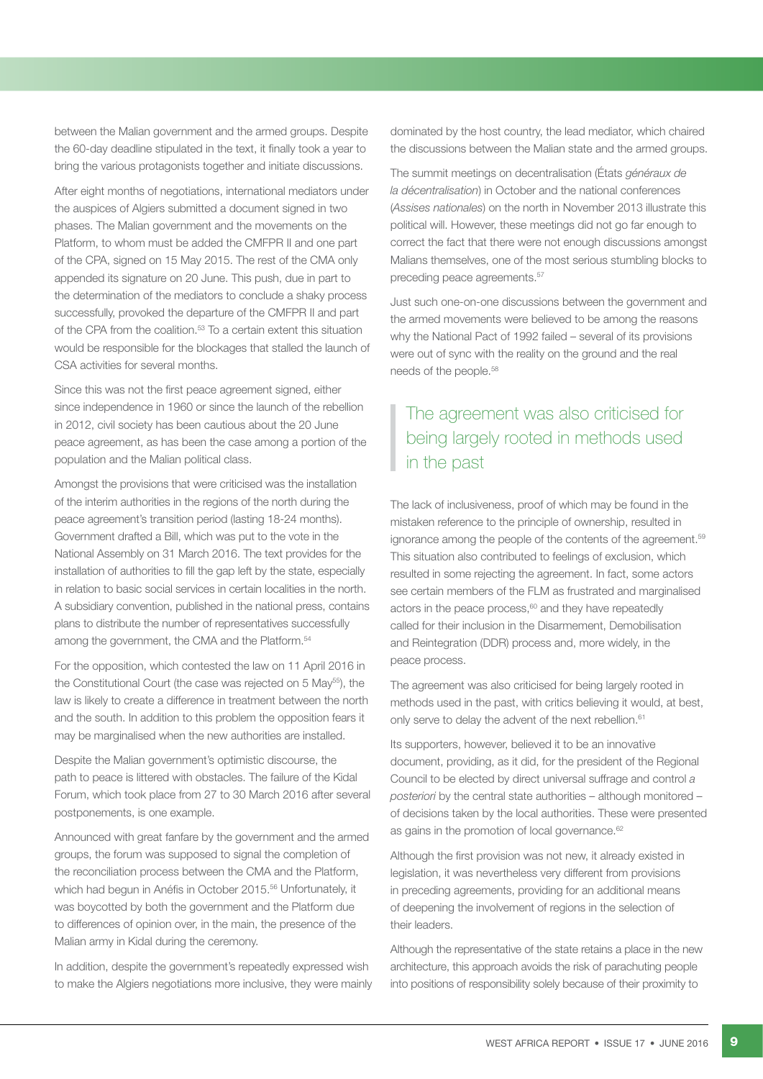between the Malian government and the armed groups. Despite the 60-day deadline stipulated in the text, it finally took a year to bring the various protagonists together and initiate discussions.

After eight months of negotiations, international mediators under the auspices of Algiers submitted a document signed in two phases. The Malian government and the movements on the Platform, to whom must be added the CMFPR II and one part of the CPA, signed on 15 May 2015. The rest of the CMA only appended its signature on 20 June. This push, due in part to the determination of the mediators to conclude a shaky process successfully, provoked the departure of the CMFPR II and part of the CPA from the coalition.<sup>53</sup> To a certain extent this situation would be responsible for the blockages that stalled the launch of CSA activities for several months.

Since this was not the first peace agreement signed, either since independence in 1960 or since the launch of the rebellion in 2012, civil society has been cautious about the 20 June peace agreement, as has been the case among a portion of the population and the Malian political class.

Amongst the provisions that were criticised was the installation of the interim authorities in the regions of the north during the peace agreement's transition period (lasting 18-24 months). Government drafted a Bill, which was put to the vote in the National Assembly on 31 March 2016. The text provides for the installation of authorities to fill the gap left by the state, especially in relation to basic social services in certain localities in the north. A subsidiary convention, published in the national press, contains plans to distribute the number of representatives successfully among the government, the CMA and the Platform.<sup>54</sup>

For the opposition, which contested the law on 11 April 2016 in the Constitutional Court (the case was rejected on 5 May<sup>55</sup>), the law is likely to create a difference in treatment between the north and the south. In addition to this problem the opposition fears it may be marginalised when the new authorities are installed.

Despite the Malian government's optimistic discourse, the path to peace is littered with obstacles. The failure of the Kidal Forum, which took place from 27 to 30 March 2016 after several postponements, is one example.

Announced with great fanfare by the government and the armed groups, the forum was supposed to signal the completion of the reconciliation process between the CMA and the Platform, which had begun in Anéfis in October 2015.<sup>56</sup> Unfortunately, it was boycotted by both the government and the Platform due to differences of opinion over, in the main, the presence of the Malian army in Kidal during the ceremony.

In addition, despite the government's repeatedly expressed wish to make the Algiers negotiations more inclusive, they were mainly dominated by the host country, the lead mediator, which chaired the discussions between the Malian state and the armed groups.

The summit meetings on decentralisation (États *généraux de la décentralisation*) in October and the national conferences (*Assises nationales*) on the north in November 2013 illustrate this political will. However, these meetings did not go far enough to correct the fact that there were not enough discussions amongst Malians themselves, one of the most serious stumbling blocks to preceding peace agreements.57

Just such one-on-one discussions between the government and the armed movements were believed to be among the reasons why the National Pact of 1992 failed – several of its provisions were out of sync with the reality on the ground and the real needs of the people.<sup>58</sup>

## The agreement was also criticised for being largely rooted in methods used in the past

The lack of inclusiveness, proof of which may be found in the mistaken reference to the principle of ownership, resulted in ignorance among the people of the contents of the agreement.<sup>59</sup> This situation also contributed to feelings of exclusion, which resulted in some rejecting the agreement. In fact, some actors see certain members of the FLM as frustrated and marginalised actors in the peace process, $60$  and they have repeatedly called for their inclusion in the Disarmement, Demobilisation and Reintegration (DDR) process and, more widely, in the peace process.

The agreement was also criticised for being largely rooted in methods used in the past, with critics believing it would, at best, only serve to delay the advent of the next rebellion.<sup>61</sup>

Its supporters, however, believed it to be an innovative document, providing, as it did, for the president of the Regional Council to be elected by direct universal suffrage and control *a posteriori* by the central state authorities – although monitored – of decisions taken by the local authorities. These were presented as gains in the promotion of local governance.<sup>62</sup>

Although the first provision was not new, it already existed in legislation, it was nevertheless very different from provisions in preceding agreements, providing for an additional means of deepening the involvement of regions in the selection of their leaders.

Although the representative of the state retains a place in the new architecture, this approach avoids the risk of parachuting people into positions of responsibility solely because of their proximity to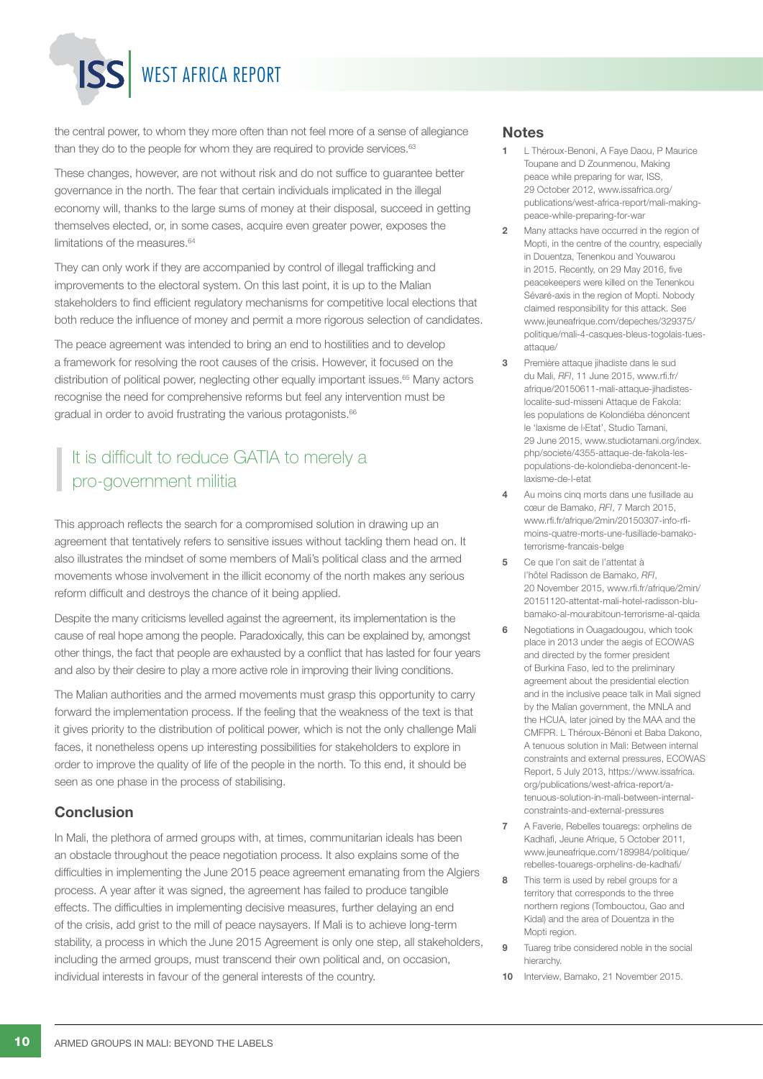## WEST AFRICA REPORT

the central power, to whom they more often than not feel more of a sense of allegiance than they do to the people for whom they are required to provide services.<sup>63</sup>

These changes, however, are not without risk and do not suffice to guarantee better governance in the north. The fear that certain individuals implicated in the illegal economy will, thanks to the large sums of money at their disposal, succeed in getting themselves elected, or, in some cases, acquire even greater power, exposes the limitations of the measures.<sup>64</sup>

They can only work if they are accompanied by control of illegal trafficking and improvements to the electoral system. On this last point, it is up to the Malian stakeholders to find efficient regulatory mechanisms for competitive local elections that both reduce the influence of money and permit a more rigorous selection of candidates.

The peace agreement was intended to bring an end to hostilities and to develop a framework for resolving the root causes of the crisis. However, it focused on the distribution of political power, neglecting other equally important issues.<sup>65</sup> Many actors recognise the need for comprehensive reforms but feel any intervention must be gradual in order to avoid frustrating the various protagonists.<sup>66</sup>

## It is difficult to reduce GATIA to merely a pro-government militia

This approach reflects the search for a compromised solution in drawing up an agreement that tentatively refers to sensitive issues without tackling them head on. It also illustrates the mindset of some members of Mali's political class and the armed movements whose involvement in the illicit economy of the north makes any serious reform difficult and destroys the chance of it being applied.

Despite the many criticisms levelled against the agreement, its implementation is the cause of real hope among the people. Paradoxically, this can be explained by, amongst other things, the fact that people are exhausted by a conflict that has lasted for four years and also by their desire to play a more active role in improving their living conditions.

The Malian authorities and the armed movements must grasp this opportunity to carry forward the implementation process. If the feeling that the weakness of the text is that it gives priority to the distribution of political power, which is not the only challenge Mali faces, it nonetheless opens up interesting possibilities for stakeholders to explore in order to improve the quality of life of the people in the north. To this end, it should be seen as one phase in the process of stabilising.

#### Conclusion

In Mali, the plethora of armed groups with, at times, communitarian ideals has been an obstacle throughout the peace negotiation process. It also explains some of the difficulties in implementing the June 2015 peace agreement emanating from the Algiers process. A year after it was signed, the agreement has failed to produce tangible effects. The difficulties in implementing decisive measures, further delaying an end of the crisis, add grist to the mill of peace naysayers. If Mali is to achieve long-term stability, a process in which the June 2015 Agreement is only one step, all stakeholders, including the armed groups, must transcend their own political and, on occasion, individual interests in favour of the general interests of the country.

#### **Notes**

- L Théroux-Benoni, A Faye Daou, P Maurice Toupane and D Zounmenou, Making peace while preparing for war, ISS, 29 October 2012, [www.issafrica.org/](http://www.issafrica.org/publications/west-africa-report/mali-making-peace-while-preparing-for-war) [publications/west-africa-report/mali-making](http://www.issafrica.org/publications/west-africa-report/mali-making-peace-while-preparing-for-war)[peace-while-preparing-for-war](http://www.issafrica.org/publications/west-africa-report/mali-making-peace-while-preparing-for-war)
- 2 Many attacks have occurred in the region of Mopti, in the centre of the country, especially in Douentza, Tenenkou and Youwarou in 2015. Recently, on 29 May 2016, five peacekeepers were killed on the Tenenkou Sévaré-axis in the region of Mopti. Nobody claimed responsibility for this attack. See [www.jeuneafrique.com/depeches/329375/](http://www.jeuneafrique.com/depeches/329375/politique/mali-4-casques-bleus-togolais-tues-attaque/) [politique/mali-4-casques-bleus-togolais-tues](http://www.jeuneafrique.com/depeches/329375/politique/mali-4-casques-bleus-togolais-tues-attaque/)[attaque/](http://www.jeuneafrique.com/depeches/329375/politique/mali-4-casques-bleus-togolais-tues-attaque/)
- 3 Première attaque jihadiste dans le sud du Mali, *RFI*, 11 June 2015, [www.rfi.fr/](http://www.rfi.fr/afrique/20150611-mali-attaque-jihadistes-localite-sud-misseni) [afrique/20150611-mali-attaque-jihadistes](http://www.rfi.fr/afrique/20150611-mali-attaque-jihadistes-localite-sud-misseni)[localite-sud-misseni](http://www.rfi.fr/afrique/20150611-mali-attaque-jihadistes-localite-sud-misseni) Attaque de Fakola: les populations de Kolondiéba dénoncent le 'laxisme de l›Etat', Studio Tamani, 29 June 2015, [www.studiotamani.org/index.](http://www.studiotamani.org/index.php/societe/4355-attaque-de-fakola-les-populations-de-kolondieba-denoncent-le-laxisme-de-l-etat) [php/societe/4355-attaque-de-fakola-les](http://www.studiotamani.org/index.php/societe/4355-attaque-de-fakola-les-populations-de-kolondieba-denoncent-le-laxisme-de-l-etat)[populations-de-kolondieba-denoncent-le](http://www.studiotamani.org/index.php/societe/4355-attaque-de-fakola-les-populations-de-kolondieba-denoncent-le-laxisme-de-l-etat)[laxisme-de-l-etat](http://www.studiotamani.org/index.php/societe/4355-attaque-de-fakola-les-populations-de-kolondieba-denoncent-le-laxisme-de-l-etat)
- 4 Au moins cinq morts dans une fusillade au cœur de Bamako, *RFI*, 7 March 2015, [www.rfi.fr/afrique/2min/20150307-info-rfi](http://www.rfi.fr/afrique/2min/20150307-info-rfi-moins-quatre-morts-une-fusillade-bamako-terrorisme-francais-belge)[moins-quatre-morts-une-fusillade-bamako](http://www.rfi.fr/afrique/2min/20150307-info-rfi-moins-quatre-morts-une-fusillade-bamako-terrorisme-francais-belge)[terrorisme-francais-belge](http://www.rfi.fr/afrique/2min/20150307-info-rfi-moins-quatre-morts-une-fusillade-bamako-terrorisme-francais-belge)
- 5 Ce que l'on sait de l'attentat à l'hôtel Radisson de Bamako, *RFI*, 20 November 2015, [www.rfi.fr/afrique/2min/](http://www.rfi.fr/afrique/2min/20151120-attentat-mali-hotel-radisson-blu-bamako-al-mourabitoun-terrorisme-al-qaida)  [20151120-attentat-mali-hotel-radisson-blu](http://www.rfi.fr/afrique/2min/20151120-attentat-mali-hotel-radisson-blu-bamako-al-mourabitoun-terrorisme-al-qaida)[bamako-al-mourabitoun-terrorisme-al-qaida](http://www.rfi.fr/afrique/2min/20151120-attentat-mali-hotel-radisson-blu-bamako-al-mourabitoun-terrorisme-al-qaida)
- 6 Negotiations in Ouagadougou, which took place in 2013 under the aegis of ECOWAS and directed by the former president of Burkina Faso, led to the preliminary agreement about the presidential election and in the inclusive peace talk in Mali signed by the Malian government, the MNLA and the HCUA, later joined by the MAA and the CMFPR. L Théroux-Bénoni et Baba Dakono, A tenuous solution in Mali: Between internal constraints and external pressures, ECOWAS Report, 5 July 2013, [https://www.issafrica.](https://www.issafrica.org/publications/west-africa-report/a-tenuous-solution-in-mali-between-internal-constraints-and-external-pressures) [org/publications/west-africa-report/a](https://www.issafrica.org/publications/west-africa-report/a-tenuous-solution-in-mali-between-internal-constraints-and-external-pressures)[tenuous-solution-in-mali-between-internal](https://www.issafrica.org/publications/west-africa-report/a-tenuous-solution-in-mali-between-internal-constraints-and-external-pressures)[constraints-and-external-pressures](https://www.issafrica.org/publications/west-africa-report/a-tenuous-solution-in-mali-between-internal-constraints-and-external-pressures)
- 7 A Faverie, Rebelles touaregs: orphelins de Kadhafi, Jeune Afrique, 5 October 2011*,*  [www.jeuneafrique.com/189984/politique/](http://www.jeuneafrique.com/189984/politique/rebelles-touaregs-orphelins-de-kadhafi/) [rebelles-touaregs-orphelins-de-kadhafi/](http://www.jeuneafrique.com/189984/politique/rebelles-touaregs-orphelins-de-kadhafi/)
- 8 This term is used by rebel groups for a territory that corresponds to the three northern regions (Tombouctou, Gao and Kidal) and the area of Douentza in the Mopti region.
- **9** Tuareg tribe considered noble in the social hierarchy.
- 10 Interview, Bamako, 21 November 2015.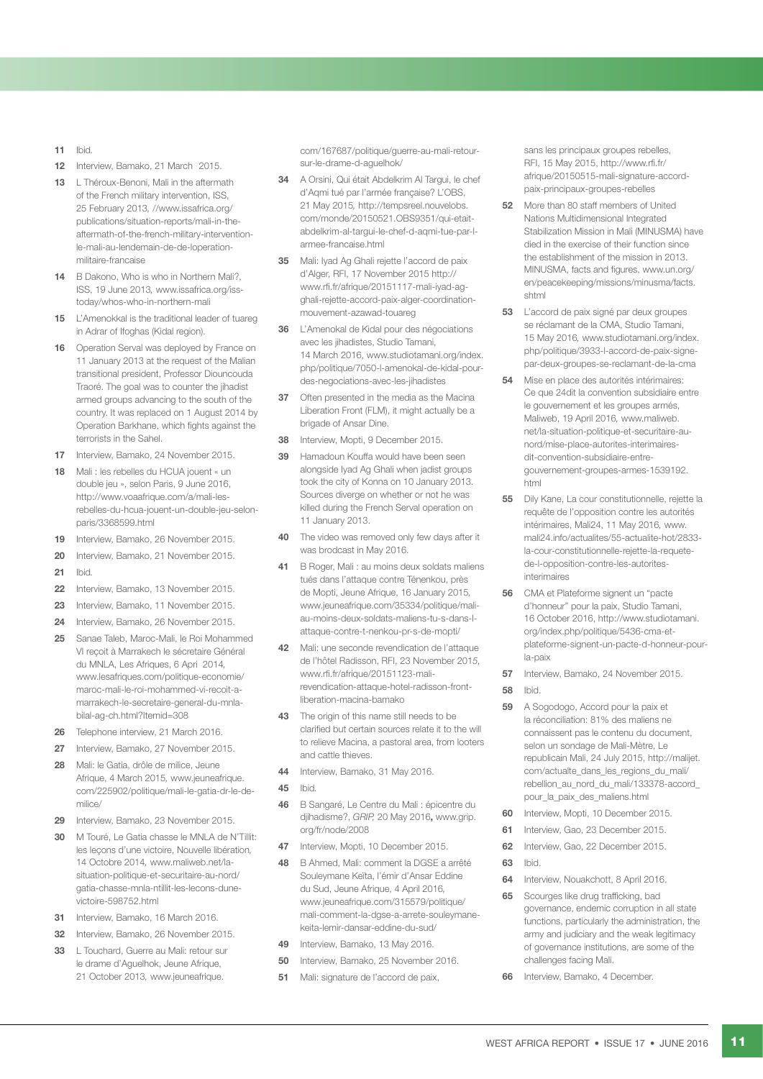- 11 Ibid*.*
- 12 Interview, Bamako, 21 March, 2015.
- 13 L Théroux-Benoni, Mali in the aftermath of the French military intervention, ISS, 25 February 2013*,* [//www.issafrica.org/](https://www.issafrica.org/publications/situation-reports/mali-in-the-aftermath-of-the-french-military-intervention-le-mali-au-lendemain-de-de-loperation-militaire-francaise) [publications/situation-reports/mali-in-the](https://www.issafrica.org/publications/situation-reports/mali-in-the-aftermath-of-the-french-military-intervention-le-mali-au-lendemain-de-de-loperation-militaire-francaise)[aftermath-of-the-french-military-intervention](https://www.issafrica.org/publications/situation-reports/mali-in-the-aftermath-of-the-french-military-intervention-le-mali-au-lendemain-de-de-loperation-militaire-francaise)[le-mali-au-lendemain-de-de-loperation](https://www.issafrica.org/publications/situation-reports/mali-in-the-aftermath-of-the-french-military-intervention-le-mali-au-lendemain-de-de-loperation-militaire-francaise)[militaire-francaise](https://www.issafrica.org/publications/situation-reports/mali-in-the-aftermath-of-the-french-military-intervention-le-mali-au-lendemain-de-de-loperation-militaire-francaise)
- 14 B Dakono, Who is who in Northern Mali?. ISS, 19 June 2013*,* [www.issafrica.org/iss](http://www.issafrica.org/iss-today/whos-who-in-northern-mali)[today/whos-who-in-northern-mali](http://www.issafrica.org/iss-today/whos-who-in-northern-mali)
- 15 L'Amenokkal is the traditional leader of tuareg in Adrar of Ifoghas (Kidal region).
- 16 Operation Serval was deployed by France on 11 January 2013 at the request of the Malian transitional president, Professor Diouncouda Traoré. The goal was to counter the jihadist armed groups advancing to the south of the country. It was replaced on 1 August 2014 by Operation Barkhane, which fights against the terrorists in the Sahel.
- 17 Interview, Bamako, 24 November 2015.
- 18 Mali : les rebelles du HCUA jouent « un double jeu », selon Paris, 9 June 2016, [http://www.voaafrique.com/a/mali-les](http://www.voaafrique.com/a/mali-les-rebelles-du-hcua-jouent-un-double-jeu-selon-paris/3368599.html)[rebelles-du-hcua-jouent-un-double-jeu-selon](http://www.voaafrique.com/a/mali-les-rebelles-du-hcua-jouent-un-double-jeu-selon-paris/3368599.html)[paris/3368599.html](http://www.voaafrique.com/a/mali-les-rebelles-du-hcua-jouent-un-double-jeu-selon-paris/3368599.html)
- 19 Interview, Bamako, 26 November 2015.
- 20 Interview, Bamako, 21 November 2015.
- 21 Ibid*.*
- 22 Interview, Bamako, 13 November 2015.
- 23 Interview, Bamako, 11 November 2015.
- 24 Interview, Bamako, 26 November 2015.
- 25 Sanae Taleb, Maroc-Mali, le Roi Mohammed VI reçoit à Marrakech le sécretaire Général du MNLA, Les Afriques, 6 Apri 2014*,* [www.lesafriques.com/politique-economie/](http://www.lesafriques.com/politique-economie/maroc-mali-le-roi-mohammed-vi-recoit-a-marrakech-le-secretaire-general-du-mnla-bilal-ag-ch.html?Itemid=308) [maroc-mali-le-roi-mohammed-vi-recoit-a](http://www.lesafriques.com/politique-economie/maroc-mali-le-roi-mohammed-vi-recoit-a-marrakech-le-secretaire-general-du-mnla-bilal-ag-ch.html?Itemid=308)[marrakech-le-secretaire-general-du-mnla](http://www.lesafriques.com/politique-economie/maroc-mali-le-roi-mohammed-vi-recoit-a-marrakech-le-secretaire-general-du-mnla-bilal-ag-ch.html?Itemid=308)[bilal-ag-ch.html?Itemid=308](http://www.lesafriques.com/politique-economie/maroc-mali-le-roi-mohammed-vi-recoit-a-marrakech-le-secretaire-general-du-mnla-bilal-ag-ch.html?Itemid=308)
- 26 Telephone interview, 21 March 2016.
- 27 Interview, Bamako, 27 November 2015.
- 28 Mali: le Gatia, drôle de milice, Jeune Afrique, 4 March 2015*,* [www.jeuneafrique.](http://www.jeuneafrique.com/225902/politique/mali-le-gatia-dr-le-de-milice/) [com/225902/politique/mali-le-gatia-dr-le-de](http://www.jeuneafrique.com/225902/politique/mali-le-gatia-dr-le-de-milice/)[milice/](http://www.jeuneafrique.com/225902/politique/mali-le-gatia-dr-le-de-milice/)
- 29 Interview, Bamako, 23 November 2015.
- 30 M Touré, Le Gatia chasse le MNLA de N'Tillit: les leçons d'une victoire, Nouvelle libération*,*  14 Octobre 2014*,* [www.maliweb.net/la](http://www.maliweb.net/la-situation-politique-et-securitaire-au-nord/gatia-chasse-mnla-ntillit-les-lecons-dune-victoire-598752.html)[situation-politique-et-securitaire-au-nord/](http://www.maliweb.net/la-situation-politique-et-securitaire-au-nord/gatia-chasse-mnla-ntillit-les-lecons-dune-victoire-598752.html) [gatia-chasse-mnla-ntillit-les-lecons-dune](http://www.maliweb.net/la-situation-politique-et-securitaire-au-nord/gatia-chasse-mnla-ntillit-les-lecons-dune-victoire-598752.html)[victoire-598752.html](http://www.maliweb.net/la-situation-politique-et-securitaire-au-nord/gatia-chasse-mnla-ntillit-les-lecons-dune-victoire-598752.html)
- 31 Interview, Bamako, 16 March 2016.
- 32 Interview, Bamako, 26 November 2015.
- 33 L Touchard, Guerre au Mali: retour sur le drame d'Aguelhok, Jeune Afrique, 21 October 2013*,* [www.jeuneafrique.](http://www.jeuneafrique.com/167687/politique/guerre-au-mali-retour-sur-le-drame-d-aguelhok/)

[com/167687/politique/guerre-au-mali-retour](http://www.jeuneafrique.com/167687/politique/guerre-au-mali-retour-sur-le-drame-d-aguelhok/)[sur-le-drame-d-aguelhok/](http://www.jeuneafrique.com/167687/politique/guerre-au-mali-retour-sur-le-drame-d-aguelhok/)

- 34 A Orsini, Qui était Abdelkrim Al Targui, le chef d'Aqmi tué par l'armée française? L'OBS, 21 May 2015*,* [http://tempsreel.nouvelobs.](http://tempsreel.nouvelobs.com/monde/20150521.OBS9351/qui-etait-abdelkrim-al-targui-le-chef-d-aqmi-tue-par-l-armee-francaise.html) [com/monde/20150521.OBS9351/qui-etait](http://tempsreel.nouvelobs.com/monde/20150521.OBS9351/qui-etait-abdelkrim-al-targui-le-chef-d-aqmi-tue-par-l-armee-francaise.html)[abdelkrim-al-targui-le-chef-d-aqmi-tue-par-l](http://tempsreel.nouvelobs.com/monde/20150521.OBS9351/qui-etait-abdelkrim-al-targui-le-chef-d-aqmi-tue-par-l-armee-francaise.html)[armee-francaise.html](http://tempsreel.nouvelobs.com/monde/20150521.OBS9351/qui-etait-abdelkrim-al-targui-le-chef-d-aqmi-tue-par-l-armee-francaise.html)
- 35 Mali: Iyad Ag Ghali rejette l'accord de paix d'Alger, RFI, 17 November 2015 [http://](http://www.rfi.fr/afrique/20151117-mali-iyad-ag-ghali-rejette-accord-paix-alger-coordination-mouvement-azawad-touareg) [www.rfi.fr/afrique/20151117-mali-iyad-ag](http://www.rfi.fr/afrique/20151117-mali-iyad-ag-ghali-rejette-accord-paix-alger-coordination-mouvement-azawad-touareg)[ghali-rejette-accord-paix-alger-coordination](http://www.rfi.fr/afrique/20151117-mali-iyad-ag-ghali-rejette-accord-paix-alger-coordination-mouvement-azawad-touareg)[mouvement-azawad-touareg](http://www.rfi.fr/afrique/20151117-mali-iyad-ag-ghali-rejette-accord-paix-alger-coordination-mouvement-azawad-touareg)
- 36 L'Amenokal de Kidal pour des négociations avec les jihadistes, Studio Tamani, 14 March 2016, [www.studiotamani.org/index.](http://www.studiotamani.org/index.php/politique/7050-l-amenokal-de-kidal-pour-des-negociations-avec-les-jihadistes) [php/politique/7050-l-amenokal-de-kidal-pour](http://www.studiotamani.org/index.php/politique/7050-l-amenokal-de-kidal-pour-des-negociations-avec-les-jihadistes)[des-negociations-avec-les-jihadistes](http://www.studiotamani.org/index.php/politique/7050-l-amenokal-de-kidal-pour-des-negociations-avec-les-jihadistes)
- 37 Often presented in the media as the Macina Liberation Front (FLM), it might actually be a brigade of Ansar Dine.
- 38 Interview, Mopti, 9 December 2015.
- 39 Hamadoun Kouffa would have been seen alongside Iyad Ag Ghali when jadist groups took the city of Konna on 10 January 2013. Sources diverge on whether or not he was killed during the French Serval operation on 11 January 2013.
- 40 The video was removed only few days after it was brodcast in May 2016.
- 41 B Roger, Mali : au moins deux soldats maliens tués dans l'attaque contre Ténenkou, près de Mopti, Jeune Afrique, 16 January 2015*,*  [www.jeuneafrique.com/35334/politique/mali](http://www.jeuneafrique.com/35334/politique/mali-au-moins-deux-soldats-maliens-tu-s-dans-l-attaque-contre-t-nenkou-pr-s-de-mopti/)[au-moins-deux-soldats-maliens-tu-s-dans-l](http://www.jeuneafrique.com/35334/politique/mali-au-moins-deux-soldats-maliens-tu-s-dans-l-attaque-contre-t-nenkou-pr-s-de-mopti/)[attaque-contre-t-nenkou-pr-s-de-mopti/](http://www.jeuneafrique.com/35334/politique/mali-au-moins-deux-soldats-maliens-tu-s-dans-l-attaque-contre-t-nenkou-pr-s-de-mopti/)
- 42 Mali: une seconde revendication de l'attaque de l'hôtel Radisson, RFI, 23 November 201*5,*  [www.rfi.fr/afrique/20151123-mali](http://www.rfi.fr/afrique/20151123-mali-revendication-attaque-hotel-radisson-front-liberation-macina-bamako)[revendication-attaque-hotel-radisson-front](http://www.rfi.fr/afrique/20151123-mali-revendication-attaque-hotel-radisson-front-liberation-macina-bamako)[liberation-macina-bamako](http://www.rfi.fr/afrique/20151123-mali-revendication-attaque-hotel-radisson-front-liberation-macina-bamako)
- 43 The origin of this name still needs to be clarified but certain sources relate it to the will to relieve Macina, a pastoral area, from looters and cattle thieves.
- 44 Interview, Bamako, 31 May 2016.
- 45 Ibid*.*
- 46 B Sangaré, Le Centre du Mali : épicentre du djihadisme?, *GRIP,* 20 May 2016, [www.grip.](http://www.grip.org/fr/node/2008) [org/fr/node/2008](http://www.grip.org/fr/node/2008)
- 47 Interview, Mopti, 10 December 2015.
- 48 B Ahmed, Mali: comment la DGSE a arrêté Souleymane Keïta, l'émir d'Ansar Eddine du Sud, Jeune Afrique, 4 April 2016*,* [www.jeuneafrique.com/315579/politique/](http://www.jeuneafrique.com/315579/politique/mali-comment-la-dgse-a-arrete-souleymane-keita-lemir-dansar-eddine-du-sud/) [mali-comment-la-dgse-a-arrete-souleymane](http://www.jeuneafrique.com/315579/politique/mali-comment-la-dgse-a-arrete-souleymane-keita-lemir-dansar-eddine-du-sud/)[keita-lemir-dansar-eddine-du-sud/](http://www.jeuneafrique.com/315579/politique/mali-comment-la-dgse-a-arrete-souleymane-keita-lemir-dansar-eddine-du-sud/)
- 49 Interview, Bamako, 13 May 2016.
- 50 Interview, Bamako, 25 November 2016.
- 51 Mali: signature de l'accord de paix,

sans les principaux groupes rebelles, RFI, 15 May 2015, [http://www.rfi.fr/](http://www.rfi.fr/afrique/20150515-mali-signature-accord-paix-principaux-groupes-rebelles) [afrique/20150515-mali-signature-accord](http://www.rfi.fr/afrique/20150515-mali-signature-accord-paix-principaux-groupes-rebelles)[paix-principaux-groupes-rebelles](http://www.rfi.fr/afrique/20150515-mali-signature-accord-paix-principaux-groupes-rebelles)

- 52 More than 80 staff members of United Nations Multidimensional Integrated Stabilization Mission in Mali (MINUSMA) have died in the exercise of their function since the establishment of the mission in 2013. MINUSMA, facts and figures, [www.un.org/](http://www.un.org/en/peacekeeping/missions/minusma/facts.shtml) [en/peacekeeping/missions/minusma/facts.](http://www.un.org/en/peacekeeping/missions/minusma/facts.shtml) [shtml](http://www.un.org/en/peacekeeping/missions/minusma/facts.shtml)
- 53 L'accord de paix signé par deux groupes se réclamant de la CMA, Studio Tamani, 15 May 2016*,* [www.studiotamani.org/index.](http://www.studiotamani.org/index.php/politique/3933-l-accord-de-paix-signe-par-deux-groupes-se-reclamant-de-la-cma) [php/politique/3933-l-accord-de-paix-signe](http://www.studiotamani.org/index.php/politique/3933-l-accord-de-paix-signe-par-deux-groupes-se-reclamant-de-la-cma)[par-deux-groupes-se-reclamant-de-la-cma](http://www.studiotamani.org/index.php/politique/3933-l-accord-de-paix-signe-par-deux-groupes-se-reclamant-de-la-cma)
- 54 Mise en place des autorités intérimaires: Ce que 24dit la convention subsidiaire entre le gouvernement et les groupes armés, Maliweb, 19 April 2016*,* [www.maliweb.](http://www.maliweb.net/la-situation-politique-et-securitaire-au-nord/mise-place-autorites-interimaires-dit-convention-subsidiaire-entre-gouvernement-groupes-armes-1539192.html) [net/la-situation-politique-et-securitaire-au](http://www.maliweb.net/la-situation-politique-et-securitaire-au-nord/mise-place-autorites-interimaires-dit-convention-subsidiaire-entre-gouvernement-groupes-armes-1539192.html)[nord/mise-place-autorites-interimaires](http://www.maliweb.net/la-situation-politique-et-securitaire-au-nord/mise-place-autorites-interimaires-dit-convention-subsidiaire-entre-gouvernement-groupes-armes-1539192.html)[dit-convention-subsidiaire-entre](http://www.maliweb.net/la-situation-politique-et-securitaire-au-nord/mise-place-autorites-interimaires-dit-convention-subsidiaire-entre-gouvernement-groupes-armes-1539192.html)[gouvernement-groupes-armes-1539192.](http://www.maliweb.net/la-situation-politique-et-securitaire-au-nord/mise-place-autorites-interimaires-dit-convention-subsidiaire-entre-gouvernement-groupes-armes-1539192.html) [html](http://www.maliweb.net/la-situation-politique-et-securitaire-au-nord/mise-place-autorites-interimaires-dit-convention-subsidiaire-entre-gouvernement-groupes-armes-1539192.html)
- 55 Dily Kane, La cour constitutionnelle, rejette la requête de l'opposition contre les autorités intérimaires, Mali24, 11 May 2016*,* [www.](http://www.mali24.info/actualites/55-actualite-hot/2833-la-cour-constitutionnelle-rejette-la-requete-de-l-opposition-contre-les-autorites-interimaires) [mali24.info/actualites/55-actualite-hot/2833](http://www.mali24.info/actualites/55-actualite-hot/2833-la-cour-constitutionnelle-rejette-la-requete-de-l-opposition-contre-les-autorites-interimaires) [la-cour-constitutionnelle-rejette-la-requete](http://www.mali24.info/actualites/55-actualite-hot/2833-la-cour-constitutionnelle-rejette-la-requete-de-l-opposition-contre-les-autorites-interimaires)[de-l-opposition-contre-les-autorites](http://www.mali24.info/actualites/55-actualite-hot/2833-la-cour-constitutionnelle-rejette-la-requete-de-l-opposition-contre-les-autorites-interimaires)[interimaires](http://www.mali24.info/actualites/55-actualite-hot/2833-la-cour-constitutionnelle-rejette-la-requete-de-l-opposition-contre-les-autorites-interimaires)
- 56 CMA et Plateforme signent un "pacte d'honneur" pour la paix, Studio Tamani, 16 October 2016, [http://www.studiotamani.](http://www.studiotamani.org/index.php/politique/5436-cma-et-plateforme-signent-un-pacte-d-honneur-pour-la-paix) [org/index.php/politique/5436-cma-et](http://www.studiotamani.org/index.php/politique/5436-cma-et-plateforme-signent-un-pacte-d-honneur-pour-la-paix)[plateforme-signent-un-pacte-d-honneur-pour](http://www.studiotamani.org/index.php/politique/5436-cma-et-plateforme-signent-un-pacte-d-honneur-pour-la-paix)[la-paix](http://www.studiotamani.org/index.php/politique/5436-cma-et-plateforme-signent-un-pacte-d-honneur-pour-la-paix)
- 57 Interview, Bamako, 24 November 2015. 58 Ibid.
- 59 A Sogodogo, Accord pour la paix et la réconciliation: 81% des maliens ne connaissent pas le contenu du document, selon un sondage de Mali-Mètre, Le republicain Mali, 24 July 2015, [http://malijet.](http://malijet.com/actualte_dans_les_regions_du_mali/rebellion_au_nord_du_mali/133378-accord_pour_la_paix_des_maliens.html) [com/actualte\\_dans\\_les\\_regions\\_du\\_mali/](http://malijet.com/actualte_dans_les_regions_du_mali/rebellion_au_nord_du_mali/133378-accord_pour_la_paix_des_maliens.html) [rebellion\\_au\\_nord\\_du\\_mali/133378-accord\\_](http://malijet.com/actualte_dans_les_regions_du_mali/rebellion_au_nord_du_mali/133378-accord_pour_la_paix_des_maliens.html) [pour\\_la\\_paix\\_des\\_maliens.html](http://malijet.com/actualte_dans_les_regions_du_mali/rebellion_au_nord_du_mali/133378-accord_pour_la_paix_des_maliens.html)
- 60 Interview, Mopti, 10 December 2015.
- 61 Interview, Gao, 23 December 2015.
- 62 Interview, Gao, 22 December 2015.
- 63 Ibid.
- 64 Interview, Nouakchott, 8 April 2016.
- **65** Scourges like drug trafficking, bad governance, endemic corruption in all state functions, particularly the administration, the army and judiciary and the weak legitimacy of governance institutions, are some of the challenges facing Mali.
- 66 Interview, Bamako, 4 December.